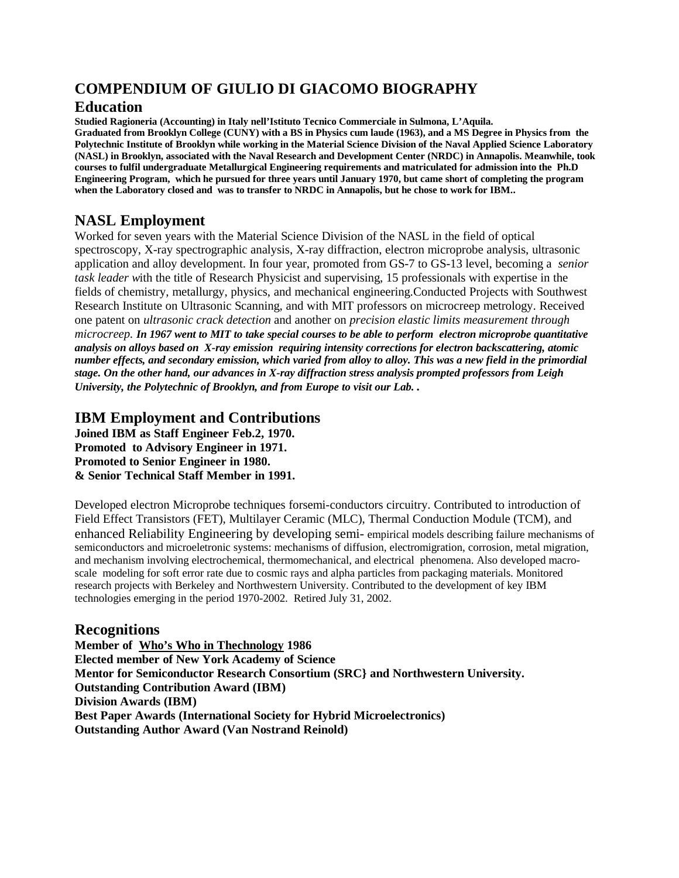# **COMPENDIUM OF GIULIO DI GIACOMO BIOGRAPHY**

### **Education**

**Studied Ragioneria (Accounting) in Italy nell'Istituto Tecnico Commerciale in Sulmona, L'Aquila.** 

**Graduated from Brooklyn College (CUNY) with a BS in Physics cum laude (1963), and a MS Degree in Physics from the Polytechnic Institute of Brooklyn while working in the Material Science Division of the Naval Applied Science Laboratory (NASL) in Brooklyn, associated with the Naval Research and Development Center (NRDC) in Annapolis. Meanwhile, took courses to fulfil undergraduate Metallurgical Engineering requirements and matriculated for admission into the Ph.D Engineering Program, which he pursued for three years until January 1970, but came short of completing the program when the Laboratory closed and was to transfer to NRDC in Annapolis, but he chose to work for IBM..**

# **NASL Employment**

Worked for seven years with the Material Science Division of the NASL in the field of optical spectroscopy, X-ray spectrographic analysis, X-ray diffraction, electron microprobe analysis, ultrasonic application and alloy development. In four year, promoted from GS-7 to GS-13 level, becoming a *senior task leader w*ith the title of Research Physicist and supervising, 15 professionals with expertise in the fields of chemistry, metallurgy, physics, and mechanical engineering.Conducted Projects with Southwest Research Institute on Ultrasonic Scanning, and with MIT professors on microcreep metrology. Received one patent on *ultrasonic crack detection* and another on *precision elastic limits measurement through microcreep. In 1967 went to MIT to take special courses to be able to perform electron microprobe quantitative analysis on alloys based on X-ray emission requiring intensity corrections for electron backscattering, atomic number effects, and secondary emission, which varied from alloy to alloy. This was a new field in the primordial stage. On the other hand, our advances in X-ray diffraction stress analysis prompted professors from Leigh University, the Polytechnic of Brooklyn, and from Europe to visit our Lab. .* 

# **IBM Employment and Contributions**

**Joined IBM as Staff Engineer Feb.2, 1970. Promoted to Advisory Engineer in 1971. Promoted to Senior Engineer in 1980. & Senior Technical Staff Member in 1991.**

Developed electron Microprobe techniques forsemi-conductors circuitry. Contributed to introduction of Field Effect Transistors (FET), Multilayer Ceramic (MLC), Thermal Conduction Module (TCM), and enhanced Reliability Engineering by developing semi- empirical models describing failure mechanisms of semiconductors and microeletronic systems: mechanisms of diffusion, electromigration, corrosion, metal migration, and mechanism involving electrochemical, thermomechanical, and electrical phenomena. Also developed macroscale modeling for soft error rate due to cosmic rays and alpha particles from packaging materials. Monitored research projects with Berkeley and Northwestern University. Contributed to the development of key IBM technologies emerging in the period 1970-2002. Retired July 31, 2002.

# **Recognitions**

**Member of Who's Who in Thechnology 1986 Elected member of New York Academy of Science Mentor for Semiconductor Research Consortium (SRC} and Northwestern University. Outstanding Contribution Award (IBM) Division Awards (IBM) Best Paper Awards (International Society for Hybrid Microelectronics) Outstanding Author Award (Van Nostrand Reinold)**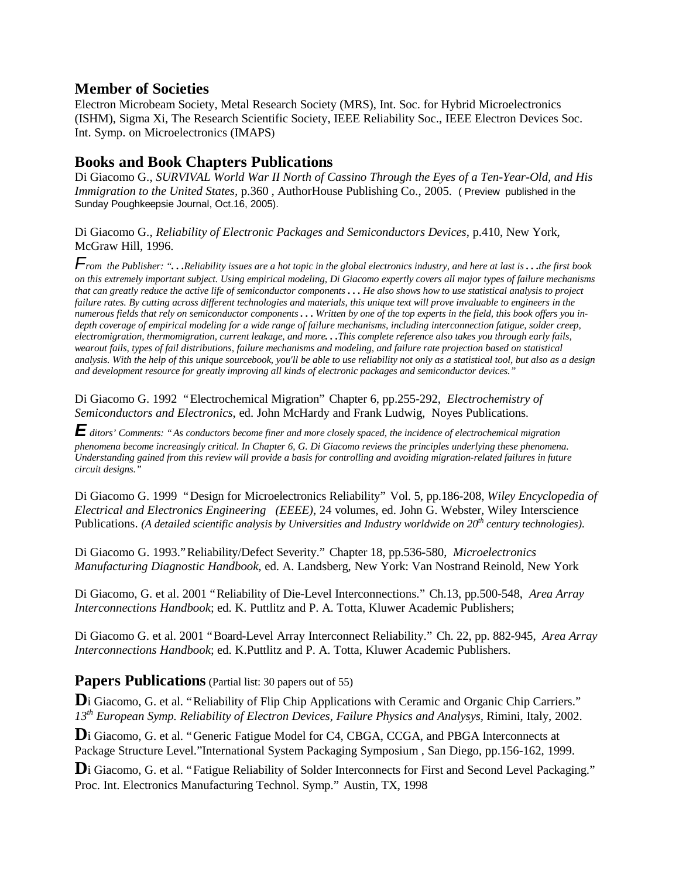### **Member of Societies**

Electron Microbeam Society, Metal Research Society (MRS), Int. Soc. for Hybrid Microelectronics (ISHM), Sigma Xi, The Research Scientific Society, IEEE Reliability Soc., IEEE Electron Devices Soc. Int. Symp. on Microelectronics (IMAPS)

### **Books and Book Chapters Publications**

Di Giacomo G., *SURVIVAL World War II North of Cassino Through the Eyes of a Ten-Year-Old, and His Immigration to the United States,* p.360 *,* AuthorHouse Publishing Co., 2005. ( Preview published in the Sunday Poughkeepsie Journal, Oct.16, 2005).

Di Giacomo G., *Reliability of Electronic Packages and Semiconductors Devices*, p.410, New York, McGraw Hill, 1996.

*From the Publisher: ". . .Reliability issues are a hot topic in the global electronics industry, and here at last is . . .the first book on this extremely important subject. Using empirical modeling, Di Giacomo expertly covers all major types of failure mechanisms that can greatly reduce the active life of semiconductor components . . . He also shows how to use statistical analysis to project failure rates. By cutting across different technologies and materials, this unique text will prove invaluable to engineers in the numerous fields that rely on semiconductor components . . . Written by one of the top experts in the field, this book offers you indepth coverage of empirical modeling for a wide range of failure mechanisms, including interconnection fatigue, solder creep, electromigration, thermomigration, current leakage, and more. . .This complete reference also takes you through early fails, wearout fails, types of fail distributions, failure mechanisms and modeling, and failure rate projection based on statistical analysis. With the help of this unique sourcebook, you'll be able to use reliability not only as a statistical tool, but also as a design and development resource for greatly improving all kinds of electronic packages and semiconductor devices."* 

Di Giacomo G. 1992 "Electrochemical Migration" Chapter 6, pp.255-292, *Electrochemistry of Semiconductors and Electronics*, ed. John McHardy and Frank Ludwig, Noyes Publications.

*E ditors' Comments: "As conductors become finer and more closely spaced, the incidence of electrochemical migration phenomena become increasingly critical. In Chapter 6, G. Di Giacomo reviews the principles underlying these phenomena. Understanding gained from this review will provide a basis for controlling and avoiding migration-related failures in future circuit designs."*

Di Giacomo G. 1999 "Design for Microelectronics Reliability" Vol. 5, pp.186-208, *Wiley Encyclopedia of Electrical and Electronics Engineering (EEEE)*, 24 volumes, ed. John G. Webster, Wiley Interscience Publications. *(A detailed scientific analysis by Universities and Industry worldwide on 20th century technologies).* 

Di Giacomo G. 1993."Reliability/Defect Severity." Chapter 18, pp.536-580, *Microelectronics Manufacturing Diagnostic Handbook,* ed. A. Landsberg, New York: Van Nostrand Reinold, New York

Di Giacomo, G. et al. 2001 "Reliability of Die-Level Interconnections." Ch.13, pp.500-548, *Area Array Interconnections Handbook*; ed. K. Puttlitz and P. A. Totta, Kluwer Academic Publishers;

Di Giacomo G. et al. 2001 "Board-Level Array Interconnect Reliability." Ch. 22, pp. 882-945, *Area Array Interconnections Handbook*; ed. K.Puttlitz and P. A. Totta, Kluwer Academic Publishers.

### **Papers Publications** (Partial list: 30 papers out of 55)

Di Giacomo, G. et al. "Reliability of Flip Chip Applications with Ceramic and Organic Chip Carriers." *13th European Symp. Reliability of Electron Devices, Failure Physics and Analysys,* Rimini, Italy, 2002.

D<sub>i</sub> Giacomo, G. et al. "Generic Fatigue Model for C4, CBGA, CCGA, and PBGA Interconnects at Package Structure Level."International System Packaging Symposium , San Diego, pp.156-162, 1999.

**D**i Giacomo, G. et al. "Fatigue Reliability of Solder Interconnects for First and Second Level Packaging." Proc. Int. Electronics Manufacturing Technol. Symp." Austin, TX, 1998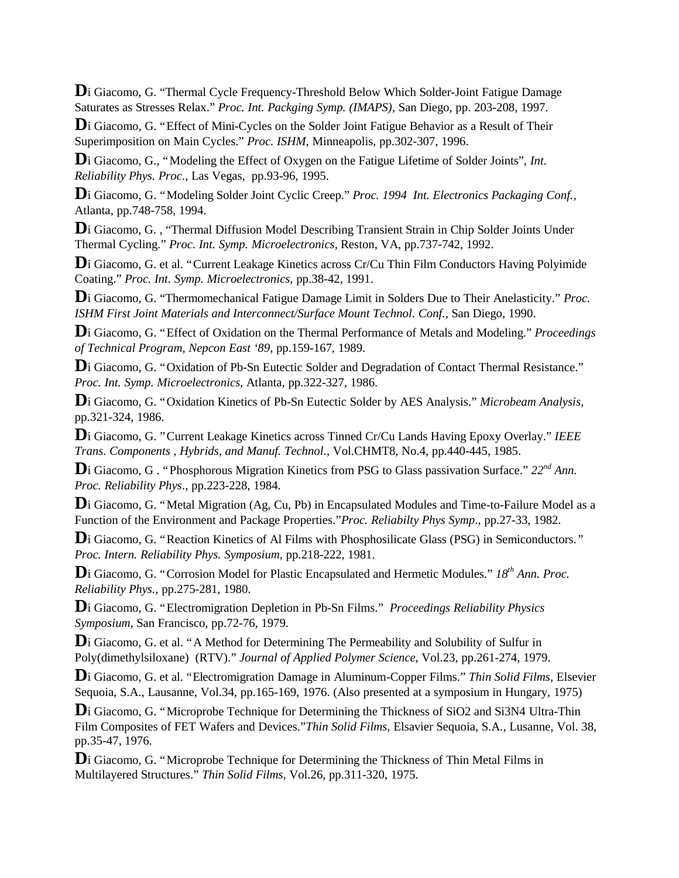Di Giacomo, G. "Thermal Cycle Frequency-Threshold Below Which Solder-Joint Fatigue Damage Saturates as Stresses Relax." *Proc. Int. Packging Symp. (IMAPS)*, San Diego, pp. 203-208, 1997.

Di Giacomo, G. "Effect of Mini-Cycles on the Solder Joint Fatigue Behavior as a Result of Their Superimposition on Main Cycles." *Proc. ISHM*, Minneapolis, pp.302-307, 1996.

Di Giacomo, G., "Modeling the Effect of Oxygen on the Fatigue Lifetime of Solder Joints", *Int. Reliability Phys. Proc*., Las Vegas, pp.93-96, 1995.

**D**i Giacomo, G. "Modeling Solder Joint Cyclic Creep." *Proc. 1994 Int. Electronics Packaging Conf.,* Atlanta, pp.748-758, 1994.

Di Giacomo, G., "Thermal Diffusion Model Describing Transient Strain in Chip Solder Joints Under Thermal Cycling." *Proc. Int. Symp. Microelectronics,* Reston, VA, pp.737-742, 1992.

Di Giacomo, G. et al. "Current Leakage Kinetics across Cr/Cu Thin Film Conductors Having Polyimide Coating." *Proc. Int. Symp. Microelectronics,* pp.38-42, 1991.

**D**i Giacomo, G. "Thermomechanical Fatigue Damage Limit in Solders Due to Their Anelasticity." *Proc. ISHM First Joint Materials and Interconnect/Surface Mount Technol. Conf.,* San Diego, 1990.

**D**i Giacomo, G. "Effect of Oxidation on the Thermal Performance of Metals and Modeling." *Proceedings of Technical Program, Nepcon East '89*, pp.159-167, 1989.

Di Giacomo, G. "Oxidation of Pb-Sn Eutectic Solder and Degradation of Contact Thermal Resistance." *Proc. Int. Symp. Microelectronics*, Atlanta, pp.322-327, 1986.

**D**i Giacomo, G. "Oxidation Kinetics of Pb-Sn Eutectic Solder by AES Analysis." *Microbeam Analysis*, pp.321-324, 1986.

**D**i Giacomo, G. "Current Leakage Kinetics across Tinned Cr/Cu Lands Having Epoxy Overlay." *IEEE Trans. Components , Hybrids, and Manuf. Technol*., Vol.CHMT8, No.4, pp.440-445, 1985.

**D**i Giacomo, G . "Phosphorous Migration Kinetics from PSG to Glass passivation Surface." *22nd Ann. Proc. Reliability Phys*., pp.223-228, 1984.

Di Giacomo, G. "Metal Migration (Ag, Cu, Pb) in Encapsulated Modules and Time-to-Failure Model as a Function of the Environment and Package Properties."*Proc. Reliabilty Phys Symp*., pp.27-33, 1982.

**D**i Giacomo, G. "Reaction Kinetics of Al Films with Phosphosilicate Glass (PSG) in Semiconductors.*" Proc. Intern. Reliability Phys. Symposium,* pp.218-222, 1981.

**D**i Giacomo, G. "Corrosion Model for Plastic Encapsulated and Hermetic Modules." *18th Ann. Proc. Reliability Phys.,* pp.275-281, 1980.

**D**i Giacomo, G. "Electromigration Depletion in Pb-Sn Films." *Proceedings Reliability Physics Symposium,* San Francisco, pp.72-76, 1979.

**D**i Giacomo, G. et al. "A Method for Determining The Permeability and Solubility of Sulfur in Poly(dimethylsiloxane) (RTV)." *Journal of Applied Polymer Science,* Vol.23, pp.261-274, 1979.

**D**i Giacomo, G. et al. "Electromigration Damage in Aluminum-Copper Films." *Thin Solid Films,* Elsevier Sequoia, S.A., Lausanne, Vol.34, pp.165-169, 1976. (Also presented at a symposium in Hungary, 1975)

Di Giacomo, G. "Microprobe Technique for Determining the Thickness of SiO2 and Si3N4 Ultra-Thin Film Composites of FET Wafers and Devices."*Thin Solid Films,* Elsavier Sequoia, S.A., Lusanne, Vol. 38, pp.35-47, 1976.

Di Giacomo, G. "Microprobe Technique for Determining the Thickness of Thin Metal Films in Multilayered Structures." *Thin Solid Films*, Vol.26, pp.311-320, 1975.